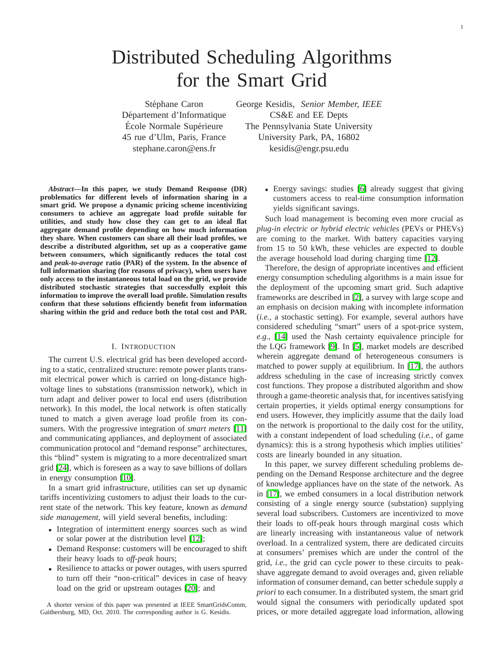# Distributed Scheduling Algorithms for the Smart Grid

Stéphane Caron George Kesidis, *Senior Member, IEEE* Département d'Informatique CS&E and EE Depts École Normale Supérieure The Pennsylvania State University 45 rue d'Ulm, Paris, France University Park, PA, 16802 stephane.caron@ens.fr kesidis@engr.psu.edu

*Abstract***—In this paper, we study Demand Response (DR) problematics for different levels of information sharing in a smart grid. We propose a dynamic pricing scheme incentivizing consumers to achieve an aggregate load profile suitable for utilities, and study how close they can get to an ideal flat aggregate demand profile depending on how much information they share. When customers can share all their load profiles, we describe a distributed algorithm, set up as a cooperative game between consumers, which significantly reduces the total cost and** *peak-to-average* **ratio (PAR) of the system. In the absence of full information sharing (for reasons of privacy), when users have only access to the instantaneous total load on the grid, we provide distributed stochastic strategies that successfully exploit this information to improve the overall load profile. Simulation results confirm that these solutions efficiently benefit from information sharing within the grid and reduce both the total cost and PAR.**

#### I. INTRODUCTION

The current U.S. electrical grid has been developed according to a static, centralized structure: remote power plants transmit electrical power which is carried on long-distance highvoltage lines to substations (transmission network), which in turn adapt and deliver power to local end users (distribution network). In this model, the local network is often statically tuned to match a given average load profile from its consumers. With the progressive integration of *smart meters* [\[11\]](#page-6-0) and communicating appliances, and deployment of associated communication protocol and "demand response" architectures, this "blind" system is migrating to a more decentralized smart grid [\[24\]](#page-6-1), which is foreseen as a way to save billions of dollars in energy consumption [\[10\]](#page-6-2).

In a smart grid infrastructure, utilities can set up dynamic tariffs incentivizing customers to adjust their loads to the current state of the network. This key feature, known as *demand side management*, will yield several benefits, including:

- Integration of intermittent energy sources such as wind or solar power at the distribution level [\[12\]](#page-6-3);
- Demand Response: customers will be encouraged to shift their heavy loads to *off-peak* hours;
- Resilience to attacks or power outages, with users spurred to turn off their "non-critical" devices in case of heavy load on the grid or upstream outages [\[20\]](#page-6-4); and

A shorter version of this paper was presented at IEEE SmartGridsComm, Gaithersburg, MD, Oct. 2010. The corresponding author is G. Kesidis.

• Energy savings: studies [\[6\]](#page-6-5) already suggest that giving customers access to real-time consumption information yields significant savings.

Such load management is becoming even more crucial as *plug-in electric or hybrid electric vehicles* (PEVs or PHEVs) are coming to the market. With battery capacities varying from 15 to 50 kWh, these vehicles are expected to double the average household load during charging time [\[12\]](#page-6-3).

Therefore, the design of appropriate incentives and efficient energy consumption scheduling algorithms is a main issue for the deployment of the upcoming smart grid. Such adaptive frameworks are described in [\[2\]](#page-6-6), a survey with large scope and an emphasis on decision making with incomplete information (*i.e.*, a stochastic setting). For example, several authors have considered scheduling "smart" users of a spot-price system, *e.g.*, [\[14\]](#page-6-7) used the Nash certainty equivalence principle for the LQG framework [\[9\]](#page-6-8). In [\[5\]](#page-6-9), market models are described wherein aggregate demand of heterogeneous consumers is matched to power supply at equilibrium. In [\[17\]](#page-6-10), the authors address scheduling in the case of increasing strictly convex cost functions. They propose a distributed algorithm and show through a game-theoretic analysis that, for incentives satisfying certain properties, it yields optimal energy consumptions for end users. However, they implicitly assume that the daily load on the network is proportional to the daily cost for the utility, with a constant independent of load scheduling (*i.e.*, of game dynamics): this is a strong hypothesis which implies utilities' costs are linearly bounded in any situation.

In this paper, we survey different scheduling problems depending on the Demand Response architecture and the degree of knowledge appliances have on the state of the network. As in [\[17\]](#page-6-10), we embed consumers in a local distribution network consisting of a single energy source (substation) supplying several load subscribers. Customers are incentivized to move their loads to off-peak hours through marginal costs which are linearly increasing with instantaneous value of network overload. In a centralized system, there are dedicated circuits at consumers' premises which are under the control of the grid, *i.e.*, the grid can cycle power to these circuits to peakshave aggregate demand to avoid overages and, given reliable information of consumer demand, can better schedule supply *a priori* to each consumer. In a distributed system, the smart grid would signal the consumers with periodically updated spot prices, or more detailed aggregate load information, allowing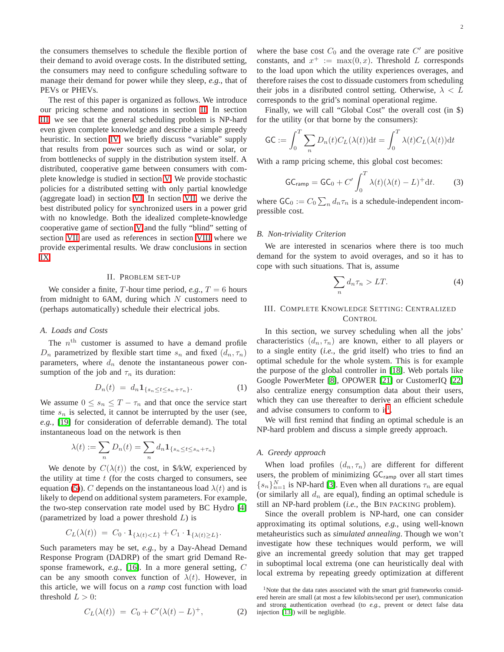the consumers themselves to schedule the flexible portion of their demand to avoid overage costs. In the distributed setting, the consumers may need to configure scheduling software to manage their demand for power while they sleep, *e.g.*, that of PEVs or PHEVs.

The rest of this paper is organized as follows. We introduce our pricing scheme and notations in section [II.](#page-1-0) In section [III,](#page-1-1) we see that the general scheduling problem is NP-hard even given complete knowledge and describe a simple greedy heuristic. In section [IV,](#page-2-0) we briefly discuss "variable" supply that results from power sources such as wind or solar, or from bottlenecks of supply in the distribution system itself. A distributed, cooperative game between consumers with complete knowledge is studied in section [V.](#page-2-1) We provide stochastic policies for a distributed setting with only partial knowledge (aggregate load) in section [VI.](#page-3-0) In section [VII,](#page-4-0) we derive the best distributed policy for synchronized users in a power grid with no knowledge. Both the idealized complete-knowledge cooperative game of section [V](#page-2-1) and the fully "blind" setting of section [VII](#page-4-0) are used as references in section [VIII](#page-4-1) where we provide experimental results. We draw conclusions in section [IX.](#page-6-11)

#### II. PROBLEM SET-UP

<span id="page-1-0"></span>We consider a finite,  $T$ -hour time period,  $e.g., T = 6$  hours from midnight to 6AM, during which  $N$  customers need to (perhaps automatically) schedule their electrical jobs.

# *A. Loads and Costs*

The  $n<sup>th</sup>$  customer is assumed to have a demand profile  $D_n$  parametrized by flexible start time  $s_n$  and fixed  $(d_n, \tau_n)$ parameters, where  $d_n$  denote the instantaneous power consumption of the job and  $\tau_n$  its duration:

$$
D_n(t) = d_n \mathbf{1}_{\{s_n \le t \le s_n + \tau_n\}}.\tag{1}
$$

<span id="page-1-4"></span>We assume  $0 \leq s_n \leq T - \tau_n$  and that once the service start time  $s_n$  is selected, it cannot be interrupted by the user (see, *e.g.*, [\[19\]](#page-6-12) for consideration of deferrable demand). The total instantaneous load on the network is then

$$
\lambda(t) := \sum_{n} D_n(t) = \sum_{n} d_n \mathbf{1}_{\{s_n \le t \le s_n + \tau_n\}}
$$

We denote by  $C(\lambda(t))$  the cost, in \$/kW, experienced by the utility at time  $t$  (for the costs charged to consumers, see equation [\(5\)](#page-2-2)). C depends on the instantaneous load  $\lambda(t)$  and is likely to depend on additional system parameters. For example, the two-step conservation rate model used by BC Hydro [\[4\]](#page-6-13) (parametrized by load a power threshold  $L$ ) is

$$
C_L(\lambda(t)) = C_0 \cdot \mathbf{1}_{\{\lambda(t) < L\}} + C_1 \cdot \mathbf{1}_{\{\lambda(t) \ge L\}}.
$$

<span id="page-1-6"></span>Such parameters may be set, *e.g.*, by a Day-Ahead Demand Response Program (DADRP) of the smart grid Demand Response framework, *e.g.*, [\[16\]](#page-6-14). In a more general setting, C can be any smooth convex function of  $\lambda(t)$ . However, in this article, we will focus on a *ramp* cost function with load threshold  $L > 0$ :

$$
C_L(\lambda(t)) = C_0 + C'(\lambda(t) - L)^+, \tag{2}
$$

where the base cost  $C_0$  and the overage rate  $C'$  are positive constants, and  $x^+ := \max(0, x)$ . Threshold L corresponds to the load upon which the utility experiences overages, and therefore raises the cost to dissuade customers from scheduling their jobs in a disributed control setting. Otherwise,  $\lambda < L$ corresponds to the grid's nominal operational regime.

Finally, we will call "Global Cost" the overall cost (in \$) for the utility (or that borne by the consumers):

$$
\mathsf{GC} := \int_0^T \sum_n D_n(t) C_L(\lambda(t)) \mathrm{d}t = \int_0^T \lambda(t) C_L(\lambda(t)) \mathrm{d}t
$$

<span id="page-1-3"></span>With a ramp pricing scheme, this global cost becomes:

$$
\mathsf{GC}_{\text{ramp}} = \mathsf{GC}_0 + C' \int_0^T \lambda(t) (\lambda(t) - L)^+ \mathrm{d}t. \tag{3}
$$

where  $GC_0 := C_0 \sum_n d_n \tau_n$  is a schedule-independent incompressible cost.

#### *B. Non-triviality Criterion*

<span id="page-1-5"></span>We are interested in scenarios where there is too much demand for the system to avoid overages, and so it has to cope with such situations. That is, assume

$$
\sum_{n} d_n \tau_n > LT.
$$
 (4)

# III. COMPLETE KNOWLEDGE SETTING: CENTRALIZED **CONTROL**

<span id="page-1-1"></span>In this section, we survey scheduling when all the jobs' characteristics  $(d_n, \tau_n)$  are known, either to all players or to a single entity (*i.e.*, the grid itself) who tries to find an optimal schedule for the whole system. This is for example the purpose of the global controller in [\[18\]](#page-6-15). Web portals like Google PowerMeter [\[8\]](#page-6-16), OPOWER [\[21\]](#page-6-17) or CustomerIQ [\[22\]](#page-6-18) also centralize energy consumption data about their users, which they can use thereafter to derive an efficient schedule and advise consumers to conform to  $it<sup>1</sup>$  $it<sup>1</sup>$  $it<sup>1</sup>$ .

We will first remind that finding an optimal schedule is an NP-hard problem and discuss a simple greedy approach.

## *A. Greedy approach*

When load profiles  $(d_n, \tau_n)$  are different for different users, the problem of minimizing GC<sub>ramp</sub> over all start times  ${s_n}_{n=1}^N$  is NP-hard [\[3\]](#page-6-19). Even when all durations  $\tau_n$  are equal (or similarly all  $d_n$  are equal), finding an optimal schedule is still an NP-hard problem (*i.e.*, the BIN PACKING problem).

Since the overall problem is NP-hard, one can consider approximating its optimal solutions, *e.g.*, using well-known metaheuristics such as *simulated annealing*. Though we won't investigate how these techniques would perform, we will give an incremental greedy solution that may get trapped in suboptimal local extrema (one can heuristically deal with local extrema by repeating greedy optimization at different

<span id="page-1-2"></span><sup>&</sup>lt;sup>1</sup>Note that the data rates associated with the smart grid frameworks considered herein are small (at most a few kilobits/second per user), communication and strong authentication overhead (to *e.g.*, prevent or detect false data injection [\[13\]](#page-6-20)) will be negligible.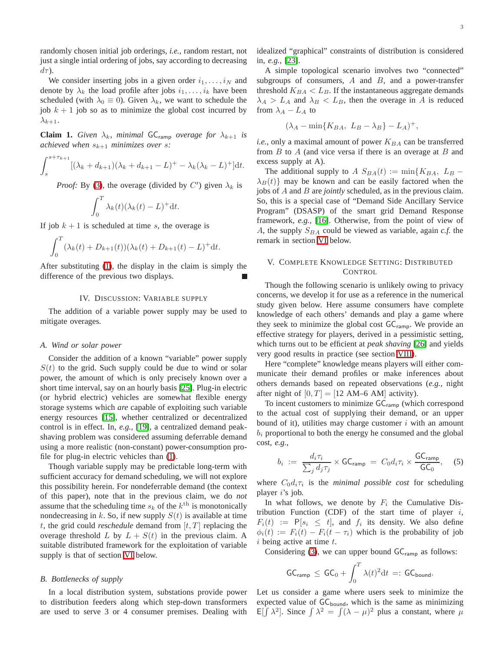randomly chosen initial job orderings, *i.e.*, random restart, not just a single intial ordering of jobs, say according to decreasing  $d\tau$ ).

We consider inserting jobs in a given order  $i_1, \ldots, i_N$  and denote by  $\lambda_k$  the load profile after jobs  $i_1, \ldots, i_k$  have been scheduled (with  $\lambda_0 \equiv 0$ ). Given  $\lambda_k$ , we want to schedule the job  $k + 1$  job so as to minimize the global cost incurred by  $\lambda_{k+1}$ .

**Claim 1.** *Given*  $\lambda_k$ *, minimal* **GC**<sub>ramp</sub> *overage for*  $\lambda_{k+1}$  *is achieved when*  $s_{k+1}$  *minimizes over s*:

$$
\int_{s}^{s+\tau_{k+1}} [(\lambda_k + d_{k+1})(\lambda_k + d_{k+1} - L)^{+} - \lambda_k(\lambda_k - L)^{+}] dt.
$$

*Proof:* By [\(3\)](#page-1-3), the overage (divided by  $C'$ ) given  $\lambda_k$  is

$$
\int_0^T \lambda_k(t) (\lambda_k(t) - L)^+ dt.
$$

If job  $k + 1$  is scheduled at time s, the overage is

$$
\int_0^T (\lambda_k(t) + D_{k+1}(t))(\lambda_k(t) + D_{k+1}(t) - L)^+ dt.
$$

<span id="page-2-0"></span>After substituting [\(1\)](#page-1-4), the display in the claim is simply the difference of the previous two displays.

## IV. DISCUSSION: VARIABLE SUPPLY

The addition of a variable power supply may be used to mitigate overages.

#### *A. Wind or solar power*

Consider the addition of a known "variable" power supply  $S(t)$  to the grid. Such supply could be due to wind or solar power, the amount of which is only precisely known over a short time interval, say on an hourly basis [\[25\]](#page-6-21). Plug-in electric (or hybrid electric) vehicles are somewhat flexible energy storage systems which *are* capable of exploiting such variable energy resources [\[15\]](#page-6-22), whether centralized or decentralized control is in effect. In, *e.g.*, [\[19\]](#page-6-12), a centralized demand peakshaving problem was considered assuming deferrable demand using a more realistic (non-constant) power-consumption profile for plug-in electric vehicles than [\(1\)](#page-1-4).

Though variable supply may be predictable long-term with sufficient accuracy for demand scheduling, we will not explore this possibility herein. For nondeferrable demand (the context of this paper), note that in the previous claim, we do *not* assume that the scheduling time  $s_k$  of the  $k^{\text{th}}$  is monotonically nondecreasing in k. So, if new supply  $S(t)$  is available at time t, the grid could *reschedule* demand from  $[t, T]$  replacing the overage threshold L by  $L + S(t)$  in the previous claim. A suitable distributed framework for the exploitation of variable supply is that of section [VI](#page-3-0) below.

#### *B. Bottlenecks of supply*

In a local distribution system, substations provide power to distribution feeders along which step-down transformers are used to serve 3 or 4 consumer premises. Dealing with

idealized "graphical" constraints of distribution is considered in, *e.g.*, [\[23\]](#page-6-23).

A simple topological scenario involves two "connected" subgroups of consumers,  $A$  and  $B$ , and a power-transfer threshold  $K_{BA} < L_B$ . If the instantaneous aggregate demands  $\lambda_A > L_A$  and  $\lambda_B < L_B$ , then the overage in A is reduced from  $\lambda_A - L_A$  to

$$
(\lambda_A - \min\{K_{BA}, L_B - \lambda_B\} - L_A)^+,
$$

*i.e.*, only a maximal amount of power  $K_{BA}$  can be transferred from  $B$  to  $A$  (and vice versa if there is an overage at  $B$  and excess supply at A).

The additional supply to  $A S_{BA}(t) := min\{K_{BA}, L_B \lambda_B(t)$  may be known and can be easily factored when the jobs of A and B are *jointly* scheduled, as in the previous claim. So, this is a special case of "Demand Side Ancillary Service Program" (DSASP) of the smart grid Demand Response framework, *e.g.*, [\[16\]](#page-6-14). Otherwise, from the point of view of A, the supply  $S_{BA}$  could be viewed as variable, again  $c.f$ . the remark in section [VI](#page-3-0) below.

## V. COMPLETE KNOWLEDGE SETTING: DISTRIBUTED CONTROL

<span id="page-2-1"></span>Though the following scenario is unlikely owing to privacy concerns, we develop it for use as a reference in the numerical study given below. Here assume consumers have complete knowledge of each others' demands and play a game where they seek to minimize the global cost GC<sub>ramp</sub>. We provide an effective strategy for players, derived in a pessimistic setting, which turns out to be efficient at *peak shaving* [\[26\]](#page-6-24) and yields very good results in practice (see section [VIII\)](#page-4-1).

Here "complete" knowledge means players will either communicate their demand profiles or make inferences about others demands based on repeated observations (*e.g.*, night after night of  $[0, T] = [12 \text{ AM}-6 \text{ AM}]$  activity).

To incent customers to minimize GC<sub>ramp</sub> (which correspond to the actual cost of supplying their demand, or an upper bound of it), utilities may charge customer  $i$  with an amount  $b_i$  proportional to both the energy he consumed and the global cost, *e.g.*,

$$
b_i := \frac{d_i \tau_i}{\sum_j d_j \tau_j} \times \mathsf{GC}_{\text{ramp}} = C_0 d_i \tau_i \times \frac{\mathsf{GC}_{\text{ramp}}}{\mathsf{GC}_0}, \quad (5)
$$

<span id="page-2-2"></span>where  $C_0d_i\tau_i$  is the *minimal possible cost* for scheduling player i's job.

In what follows, we denote by  $F_i$  the Cumulative Distribution Function (CDF) of the start time of player  $i$ ,  $F_i(t) := P[s_i \leq t]$ , and  $f_i$  its density. We also define  $\phi_i(t) := F_i(t) - F_i(t - \tau_i)$  which is the probability of job  $i$  being active at time  $t$ .

Considering [\(3\)](#page-1-3), we can upper bound  $GC_{ramp}$  as follows:

$$
\mathsf{GC}_{\mathsf{ramp}} \, \leq \, \mathsf{GC}_0 + \int_0^T \lambda(t)^2 \mathrm{d}t \, =: \, \mathsf{GC}_{\mathsf{bound}}.
$$

Let us consider a game where users seek to minimize the expected value of  $GC_{bound}$ , which is the same as minimizing E[ $\int \lambda^2$ ]. Since  $\int \lambda^2 = \int (\lambda - \mu)^2$  plus a constant, where  $\mu$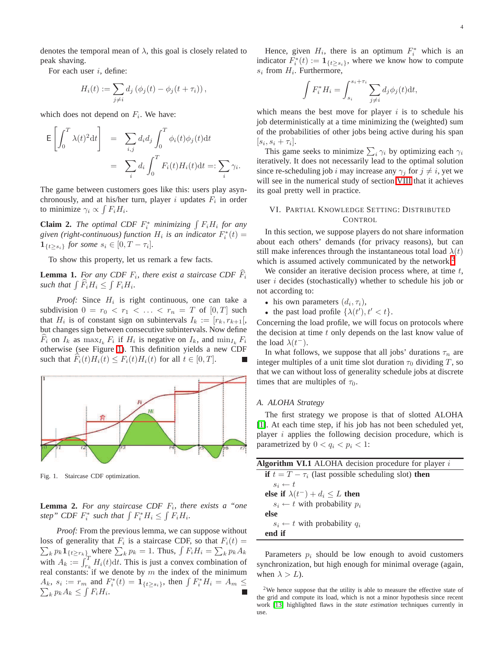denotes the temporal mean of  $\lambda$ , this goal is closely related to peak shaving.

For each user  $i$ , define:

$$
H_i(t) := \sum_{j \neq i} d_j \left( \phi_j(t) - \phi_j(t + \tau_i) \right),
$$

which does not depend on  $F_i$ . We have:

$$
\mathsf{E}\left[\int_0^T \lambda(t)^2 \mathrm{d}t\right] = \sum_{i,j} d_i d_j \int_0^T \phi_i(t) \phi_j(t) \mathrm{d}t
$$

$$
= \sum_i d_i \int_0^T F_i(t) H_i(t) \mathrm{d}t =: \sum_i \gamma_i.
$$

The game between customers goes like this: users play asynchronously, and at his/her turn, player i updates  $F_i$  in order to minimize  $\gamma_i \propto \int F_i H_i$ .

**Claim 2.** *The optimal CDF*  $F_i^*$  *minimizing*  $\int F_i H_i$  *for any* given (right-continuous) function  $H_i$  is an indicator  $F_i^*(t) =$  $\mathbf{1}_{\{t \geq s_i\}}$  for some  $s_i \in [0, T - \tau_i]$ .

To show this property, let us remark a few facts.

**Lemma 1.** For any CDF  $F_i$ , there exist a staircase CDF  $F_i$ such that  $\int \widehat{F}_i H_i \leq \int F_i H_i$ .

*Proof:* Since  $H_i$  is right continuous, one can take a subdivision  $0 = r_0 < r_1 < \ldots < r_n = T$  of  $[0, T]$  such that  $H_i$  is of constant sign on subintervals  $I_k := [r_k, r_{k+1}],$ but changes sign between consecutive subintervals. Now define  $F_i$  on  $I_k$  as  $\max_{I_k} F_i$  if  $H_i$  is negative on  $I_k$ , and  $\min_{I_k} F_i$ otherwise (see Figure [1\)](#page-3-1). This definition yields a new CDF such that  $F_i(t)H_i(t) \leq F_i(t)H_i(t)$  for all  $t \in [0, T]$ .



<span id="page-3-1"></span>Fig. 1. Staircase CDF optimization.

**Lemma 2.** *For any staircase CDF* F<sup>i</sup> *, there exists a "one* step" CDF  $F_i^*$  such that  $\int F_i^* H_i \leq \int F_i H_i$ .

*Proof:* From the previous lemma, we can suppose without loss of generality that  $F_i$  is a staircase CDF, so that  $F_i(t) =$  $\sum_{k} p_k \mathbf{1}_{\{t \geq r_k\}}$  where  $\sum_{k} p_k = 1$ . Thus,  $\int F_i H_i = \sum_{k} p_k A_k$ with  $A_k := \int_{r_k}^T H_i(t) dt$ . This is just a convex combination of real constants: if we denote by  $m$  the index of the minimum  $A_k$ ,  $s_i := r_m$  and  $F_i^*(t) = \mathbf{1}_{\{t \ge s_i\}}$ , then  $\int F_i^* H_i = A_m$  $\sum_k p_k A_k \leq \int F_i H_i.$ 

Hence, given  $H_i$ , there is an optimum  $F_i^*$  which is an indicator  $F_i^*(t) := \mathbf{1}_{\{t \geq s_i\}}$ , where we know how to compute  $s_i$  from  $H_i$ . Furthermore,

$$
\int F_i^* H_i = \int_{s_i}^{s_i + \tau_i} \sum_{j \neq i} d_j \phi_j(t) dt,
$$

which means the best move for player  $i$  is to schedule his job deterministically at a time minimizing the (weighted) sum of the probabilities of other jobs being active during his span  $[s_i, s_i + \tau_i].$ 

This game seeks to minimize  $\sum_i \gamma_i$  by optimizing each  $\gamma_i$ iteratively. It does not necessarily lead to the optimal solution since re-scheduling job i may increase any  $\gamma_i$  for  $j \neq i$ , yet we will see in the numerical study of section [VIII](#page-4-1) that it achieves its goal pretty well in practice.

## VI. PARTIAL KNOWLEDGE SETTING: DISTRIBUTED **CONTROL**

<span id="page-3-0"></span>In this section, we suppose players do not share information about each others' demands (for privacy reasons), but can still make inferences through the instantaneous total load  $\lambda(t)$ which is assumed actively communicated by the network.<sup>[2](#page-3-2)</sup>

We consider an iterative decision process where, at time  $t$ , user  $i$  decides (stochastically) whether to schedule his job or not according to:

- his own parameters  $(d_i, \tau_i)$ ,
- the past load profile  $\{\lambda(t'), t' < t\}.$

Concerning the load profile, we will focus on protocols where the decision at time  $t$  only depends on the last know value of the load  $\lambda(t^{-})$ .

In what follows, we suppose that all jobs' durations  $\tau_n$  are integer multiples of a unit time slot duration  $\tau_0$  dividing T, so that we can without loss of generality schedule jobs at discrete times that are multiples of  $\tau_0$ .

#### *A. ALOHA Strategy*

The first strategy we propose is that of slotted ALOHA [\[1\]](#page-6-25). At each time step, if his job has not been scheduled yet, player  $i$  applies the following decision procedure, which is parametrized by  $0 < q_i < p_i < 1$ :

| <b>Algorithm VI.1</b> ALOHA decision procedure for player $i$          |  |  |  |
|------------------------------------------------------------------------|--|--|--|
| <b>if</b> $t = T - \tau_i$ (last possible scheduling slot) <b>then</b> |  |  |  |
| $s_i \leftarrow t$                                                     |  |  |  |
| else if $\lambda(t^{-}) + d_i \leq L$ then                             |  |  |  |
| $s_i \leftarrow t$ with probability $p_i$                              |  |  |  |
| else                                                                   |  |  |  |
| $s_i \leftarrow t$ with probability $q_i$                              |  |  |  |
| end if                                                                 |  |  |  |

Parameters  $p_i$  should be low enough to avoid customers synchronization, but high enough for minimal overage (again, when  $\lambda > L$ ).

<span id="page-3-2"></span><sup>&</sup>lt;sup>2</sup>We hence suppose that the utility is able to measure the effective state of the grid and compute its load, which is not a minor hypothesis since recent work [\[13\]](#page-6-20) highlighted flaws in the *state estimation* techniques currently in use.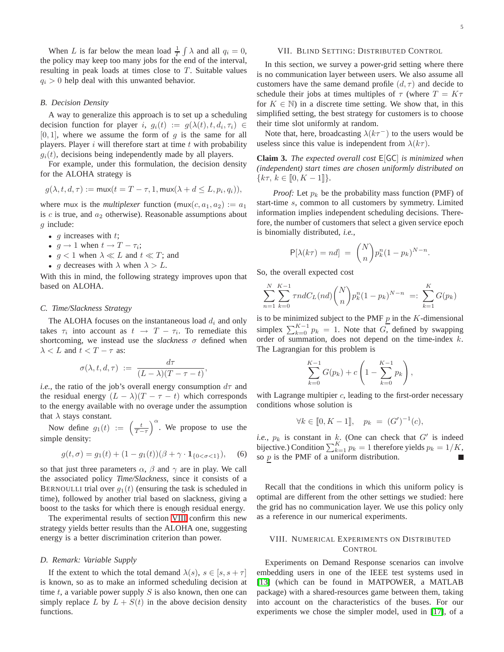When L is far below the mean load  $\frac{1}{T} \int \lambda$  and all  $q_i = 0$ , the policy may keep too many jobs for the end of the interval, resulting in peak loads at times close to  $T$ . Suitable values  $q_i > 0$  help deal with this unwanted behavior.

#### *B. Decision Density*

A way to generalize this approach is to set up a scheduling decision function for player i,  $g_i(t) := g(\lambda(t), t, d_i, \tau_i) \in$  $[0, 1]$ , where we assume the form of g is the same for all players. Player  $i$  will therefore start at time  $t$  with probability  $g_i(t)$ , decisions being independently made by all players.

For example, under this formulation, the decision density for the ALOHA strategy is

$$
g(\lambda, t, d, \tau) := \max(t = T - \tau, 1, \max(\lambda + d \le L, p_i, q_i)),
$$

where mux is the *multiplexer* function  $(mux(c, a_1, a_2)) := a_1$ is c is true, and  $a_2$  otherwise). Reasonable assumptions about g include:

- $g$  increases with  $t$ ;
- $g \to 1$  when  $t \to T \tau_i$ ;
- $q < 1$  when  $\lambda \ll L$  and  $t \ll T$ ; and
- g decreases with  $\lambda$  when  $\lambda > L$ .

With this in mind, the following strategy improves upon that based on ALOHA.

# *C. Time/Slackness Strategy*

The ALOHA focuses on the instantaneous load  $d_i$  and only takes  $\tau_i$  into account as  $t \to T - \tau_i$ . To remediate this shortcoming, we instead use the *slackness*  $\sigma$  defined when  $\lambda < L$  and  $t < T - \tau$  as:

$$
\sigma(\lambda, t, d, \tau) := \frac{d\tau}{(L-\lambda)(T-\tau-t)},
$$

*i.e.*, the ratio of the job's overall energy consumption  $d\tau$  and the residual energy  $(L - \lambda)(T - \tau - t)$  which corresponds to the energy available with no overage under the assumption that  $\lambda$  stays constant.

<span id="page-4-2"></span>Now define  $g_1(t) := \left( \frac{t}{T - \tau} \right)$  $\int_{0}^{\alpha}$ . We propose to use the simple density:

$$
g(t,\sigma) = g_1(t) + (1 - g_1(t))(\beta + \gamma \cdot \mathbf{1}_{\{0 < \sigma < 1\}}), \quad (6)
$$

so that just three parameters  $\alpha$ ,  $\beta$  and  $\gamma$  are in play. We call the associated policy *Time/Slackness*, since it consists of a BERNOULLI trial over  $g_1(t)$  (ensuring the task is scheduled in time), followed by another trial based on slackness, giving a boost to the tasks for which there is enough residual energy.

The experimental results of section [VIII](#page-4-1) confirm this new strategy yields better results than the ALOHA one, suggesting energy is a better discrimination criterion than power.

## *D. Remark: Variable Supply*

If the extent to which the total demand  $\lambda(s)$ ,  $s \in [s, s + \tau]$ is known, so as to make an informed scheduling decision at time t, a variable power supply  $S$  is also known, then one can simply replace L by  $L + S(t)$  in the above decision density functions.

## VII. BLIND SETTING: DISTRIBUTED CONTROL

<span id="page-4-0"></span>In this section, we survey a power-grid setting where there is no communication layer between users. We also assume all customers have the same demand profile  $(d, \tau)$  and decide to schedule their jobs at times multiples of  $\tau$  (where  $T = K\tau$ for  $K \in \mathbb{N}$ ) in a discrete time setting. We show that, in this simplified setting, the best strategy for customers is to choose their time slot uniformly at random.

Note that, here, broadcasting  $\lambda(k\tau^-)$  to the users would be useless since this value is independent from  $\lambda(k\tau)$ .

**Claim 3.** *The expected overall cost* E[GC] *is minimized when (independent) start times are chosen uniformly distributed on*  ${k\tau, k \in [0, K - 1]}$ .

*Proof:* Let  $p_k$  be the probability mass function (PMF) of start-time s, common to all customers by symmetry. Limited information implies independent scheduling decisions. Therefore, the number of customers that select a given service epoch is binomially distributed, *i.e.*,

$$
P[\lambda(k\tau) = nd] = {N \choose n} p_k^n (1 - p_k)^{N-n}.
$$

So, the overall expected cost

$$
\sum_{n=1}^{N} \sum_{k=0}^{K-1} \tau ndC_L(nd) {N \choose n} p_k^n (1-p_k)^{N-n} =: \sum_{k=1}^{K} G(p_k)
$$

is to be minimized subject to the PMF  $p$  in the K-dimensional simplex  $\sum_{k=0}^{K-1} p_k = 1$ . Note that G, defined by swapping order of summation, does not depend on the time-index k. The Lagrangian for this problem is

$$
\sum_{k=0}^{K-1} G(p_k) + c \left( 1 - \sum_{k=0}^{K-1} p_k \right),
$$

with Lagrange multipier  $c$ , leading to the first-order necessary conditions whose solution is

$$
\forall k \in [0, K - 1], \quad p_k = (G')^{-1}(c),
$$

*i.e.*,  $p_k$  is constant in k. (One can check that  $G'$  is indeed bijective.) Condition  $\sum_{k=1}^{K} p_k = 1$  therefore yields  $p_k = 1/K$ , so  $p$  is the PMF of a uniform distribution.

Recall that the conditions in which this uniform policy is optimal are different from the other settings we studied: here the grid has no communication layer. We use this policy only as a reference in our numerical experiments.

## VIII. NUMERICAL EXPERIMENTS ON DISTRIBUTED **CONTROL**

<span id="page-4-1"></span>Experiments on Demand Response scenarios can involve embedding users in one of the IEEE test systems used in [\[13\]](#page-6-20) (which can be found in MATPOWER, a MATLAB package) with a shared-resources game between them, taking into account on the characteristics of the buses. For our experiments we chose the simpler model, used in [\[17\]](#page-6-10), of a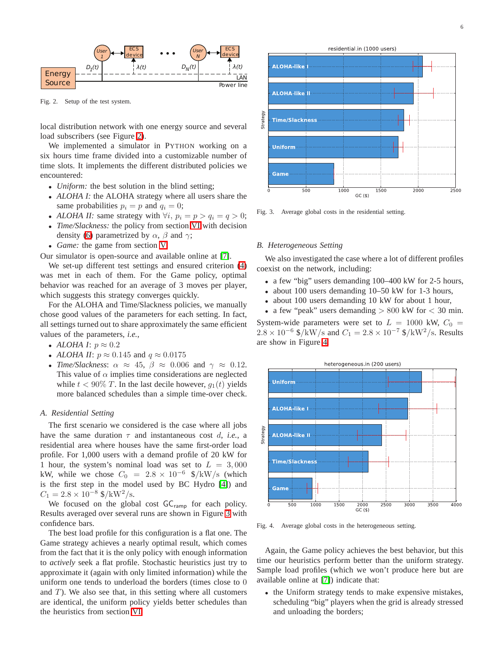

<span id="page-5-0"></span>Fig. 2. Setup of the test system.

local distribution network with one energy source and several load subscribers (see Figure [2\)](#page-5-0).

We implemented a simulator in PYTHON working on a six hours time frame divided into a customizable number of time slots. It implements the different distributed policies we encountered:

- *Uniform:* the best solution in the blind setting;
- *ALOHA I:* the ALOHA strategy where all users share the same probabilities  $p_i = p$  and  $q_i = 0$ ;
- *ALOHA II:* same strategy with  $\forall i, p_i = p > q_i = q > 0;$
- *Time/Slackness:* the policy from section [VI](#page-3-0) with decision density [\(6\)](#page-4-2) parametrized by  $\alpha$ ,  $\beta$  and  $\gamma$ ;
- *Game:* the game from section [V.](#page-2-1)
- Our simulator is open-source and available online at [\[7\]](#page-6-26).

We set-up different test settings and ensured criterion [\(4\)](#page-1-5) was met in each of them. For the Game policy, optimal behavior was reached for an average of 3 moves per player, which suggests this strategy converges quickly.

For the ALOHA and Time/Slackness policies, we manually chose good values of the parameters for each setting. In fact, all settings turned out to share approximately the same efficient values of the parameters, *i.e.*,

- *ALOHA I*:  $p \approx 0.2$
- *ALOHA II*:  $p \approx 0.145$  and  $q \approx 0.0175$
- *Time/Slackness*:  $\alpha \approx 45$ ,  $\beta \approx 0.006$  and  $\gamma \approx 0.12$ . This value of  $\alpha$  implies time considerations are neglected while  $t < 90\%$  T. In the last decile however,  $q_1(t)$  yields more balanced schedules than a simple time-over check.

## *A. Residential Setting*

The first scenario we considered is the case where all jobs have the same duration  $\tau$  and instantaneous cost d, *i.e.*, a residential area where houses have the same first-order load profile. For 1,000 users with a demand profile of 20 kW for 1 hour, the system's nominal load was set to  $L = 3,000$ kW, while we chose  $C_0 = 2.8 \times 10^{-6}$  \$/kW/s (which is the first step in the model used by BC Hydro [\[4\]](#page-6-13)) and  $C_1 = 2.8 \times 10^{-8}$   $\rm \$/kW^2/s.$ 

We focused on the global cost  $GC_{ramp}$  for each policy. Results averaged over several runs are shown in Figure [3](#page-5-1) with confidence bars.

The best load profile for this configuration is a flat one. The Game strategy achieves a nearly optimal result, which comes from the fact that it is the only policy with enough information to *actively* seek a flat profile. Stochastic heuristics just try to approximate it (again with only limited information) while the uniform one tends to underload the borders (times close to 0 and  $T$ ). We also see that, in this setting where all customers are identical, the uniform policy yields better schedules than the heuristics from section [VI.](#page-3-0)



<span id="page-5-1"></span>Fig. 3. Average global costs in the residential setting.

## *B. Heterogeneous Setting*

We also investigated the case where a lot of different profiles coexist on the network, including:

- a few "big" users demanding 100–400 kW for 2-5 hours,
- about 100 users demanding 10–50 kW for 1-3 hours,
- about 100 users demanding 10 kW for about 1 hour,
- a few "peak" users demanding  $> 800$  kW for  $< 30$  min. System-wide parameters were set to  $L = 1000$  kW,  $C_0 =$

 $2.8 \times 10^{-6}$  \$/kW/s and  $C_1 = 2.8 \times 10^{-7}$  \$/kW<sup>2</sup>/s. Results are show in Figure [4.](#page-5-2)



<span id="page-5-2"></span>Fig. 4. Average global costs in the heterogeneous setting.

Again, the Game policy achieves the best behavior, but this time our heuristics perform better than the uniform strategy. Sample load profiles (which we won't produce here but are available online at [\[7\]](#page-6-26)) indicate that:

• the Uniform strategy tends to make expensive mistakes, scheduling "big" players when the grid is already stressed and unloading the borders;